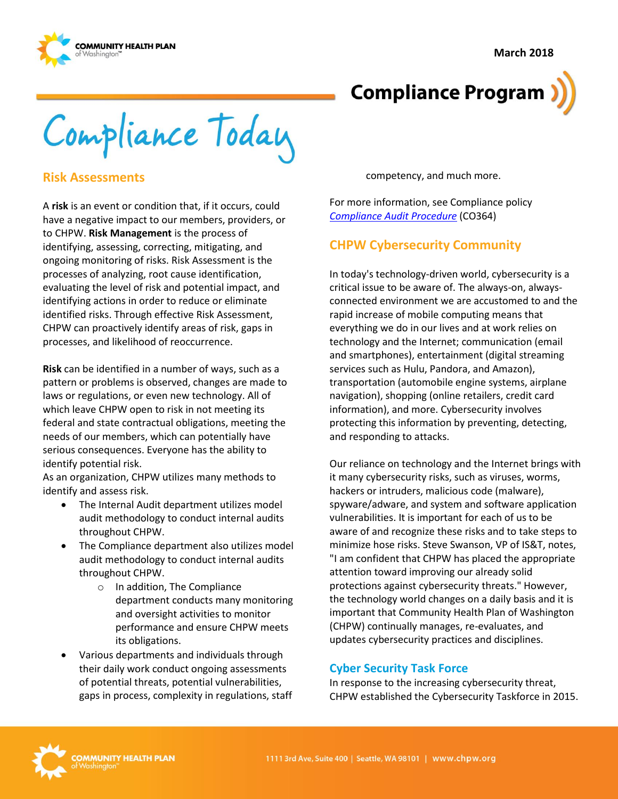**March 2018**





Compliance Today

#### **Risk Assessments**

A **risk** is an event or condition that, if it occurs, could have a negative impact to our members, providers, or to CHPW. **Risk Management** is the process of identifying, assessing, correcting, mitigating, and ongoing monitoring of risks. Risk Assessment is the processes of analyzing, root cause identification, evaluating the level of risk and potential impact, and identifying actions in order to reduce or eliminate identified risks. Through effective Risk Assessment, CHPW can proactively identify areas of risk, gaps in processes, and likelihood of reoccurrence.

**Risk** can be identified in a number of ways, such as a pattern or problems is observed, changes are made to laws or regulations, or even new technology. All of which leave CHPW open to risk in not meeting its federal and state contractual obligations, meeting the needs of our members, which can potentially have serious consequences. Everyone has the ability to identify potential risk.

As an organization, CHPW utilizes many methods to identify and assess risk.

- The Internal Audit department utilizes model audit methodology to conduct internal audits throughout CHPW.
- The Compliance department also utilizes model audit methodology to conduct internal audits throughout CHPW.
	- o In addition, The Compliance department conducts many monitoring and oversight activities to monitor performance and ensure CHPW meets its obligations.
- Various departments and individuals through their daily work conduct ongoing assessments of potential threats, potential vulnerabilities, gaps in process, complexity in regulations, staff

competency, and much more.

For more information, see Compliance policy *[Compliance Audit Procedure](http://chpsp/PP/Compliance/Compliance%20Audit%20Procedure%20-%20CO364.pdf)* (CO364)

## **CHPW Cybersecurity Community**

In today's technology-driven world, cybersecurity is a critical issue to be aware of. The always-on, alwaysconnected environment we are accustomed to and the rapid increase of mobile computing means that everything we do in our lives and at work relies on technology and the Internet; communication (email and smartphones), entertainment (digital streaming services such as Hulu, Pandora, and Amazon), transportation (automobile engine systems, airplane navigation), shopping (online retailers, credit card information), and more. Cybersecurity involves protecting this information by preventing, detecting, and responding to attacks.

Our reliance on technology and the Internet brings with it many cybersecurity risks, such as viruses, worms, hackers or intruders, malicious code (malware), spyware/adware, and system and software application vulnerabilities. It is important for each of us to be aware of and recognize these risks and to take steps to minimize hose risks. Steve Swanson, VP of IS&T, notes, "I am confident that CHPW has placed the appropriate attention toward improving our already solid protections against cybersecurity threats." However, the technology world changes on a daily basis and it is important that Community Health Plan of Washington (CHPW) continually manages, re-evaluates, and updates cybersecurity practices and disciplines.

#### **Cyber Security Task Force**

In response to the increasing cybersecurity threat, CHPW established the Cybersecurity Taskforce in 2015.

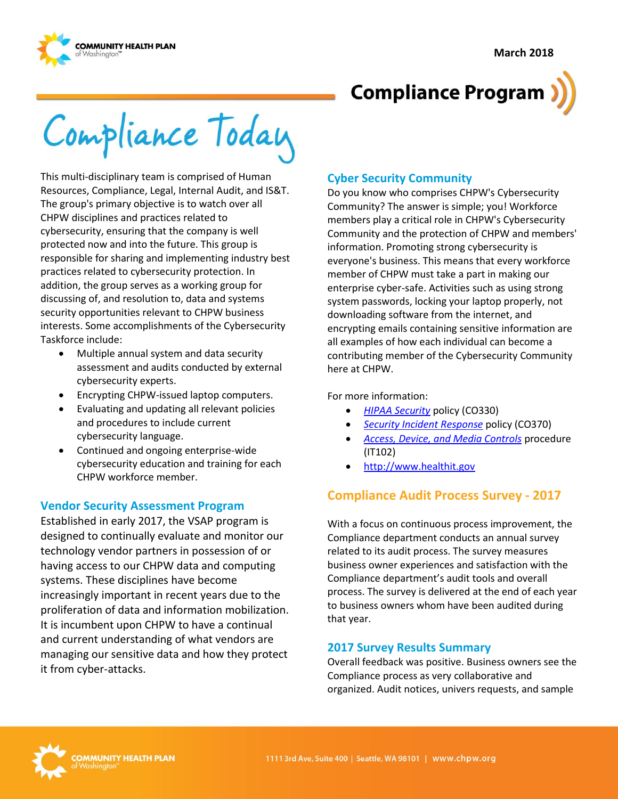

# **Compliance Program**

Compliance Today

This multi-disciplinary team is comprised of Human Resources, Compliance, Legal, Internal Audit, and IS&T. The group's primary objective is to watch over all CHPW disciplines and practices related to cybersecurity, ensuring that the company is well protected now and into the future. This group is responsible for sharing and implementing industry best practices related to cybersecurity protection. In addition, the group serves as a working group for discussing of, and resolution to, data and systems security opportunities relevant to CHPW business interests. Some accomplishments of the Cybersecurity Taskforce include:

- Multiple annual system and data security assessment and audits conducted by external cybersecurity experts.
- Encrypting CHPW-issued laptop computers.
- Evaluating and updating all relevant policies and procedures to include current cybersecurity language.
- Continued and ongoing enterprise-wide cybersecurity education and training for each CHPW workforce member.

#### **Vendor Security Assessment Program**

Established in early 2017, the VSAP program is designed to continually evaluate and monitor our technology vendor partners in possession of or having access to our CHPW data and computing systems. These disciplines have become increasingly important in recent years due to the proliferation of data and information mobilization. It is incumbent upon CHPW to have a continual and current understanding of what vendors are managing our sensitive data and how they protect it from cyber-attacks.

#### **Cyber Security Community**

Do you know who comprises CHPW's Cybersecurity Community? The answer is simple; you! Workforce members play a critical role in CHPW's Cybersecurity Community and the protection of CHPW and members' information. Promoting strong cybersecurity is everyone's business. This means that every workforce member of CHPW must take a part in making our enterprise cyber-safe. Activities such as using strong system passwords, locking your laptop properly, not downloading software from the internet, and encrypting emails containing sensitive information are all examples of how each individual can become a contributing member of the Cybersecurity Community here at CHPW.

For more information:

- *[HIPAA Security](http://chpsp/PP/Compliance/HIPAA%20Security%20Policy%20-%20CO330.pdf)* policy (CO330)
- *[Security Incident Response](http://chpsp/PP/Compliance/Security%20Incident%20Response%20Policy%20-%20CO370.pdf)* policy (CO370)
- *[Access, Device, and Media Controls](http://chpsp/PP/IST/Access%20Device%20and%20Media%20Controls%20Procedure%20-%20IT102.pdf)* procedure (IT102)
- [http://www.healthit.gov](http://www.healthit.gov/)

## **Compliance Audit Process Survey - 2017**

With a focus on continuous process improvement, the Compliance department conducts an annual survey related to its audit process. The survey measures business owner experiences and satisfaction with the Compliance department's audit tools and overall process. The survey is delivered at the end of each year to business owners whom have been audited during that year.

#### **2017 Survey Results Summary**

Overall feedback was positive. Business owners see the Compliance process as very collaborative and organized. Audit notices, univers requests, and sample

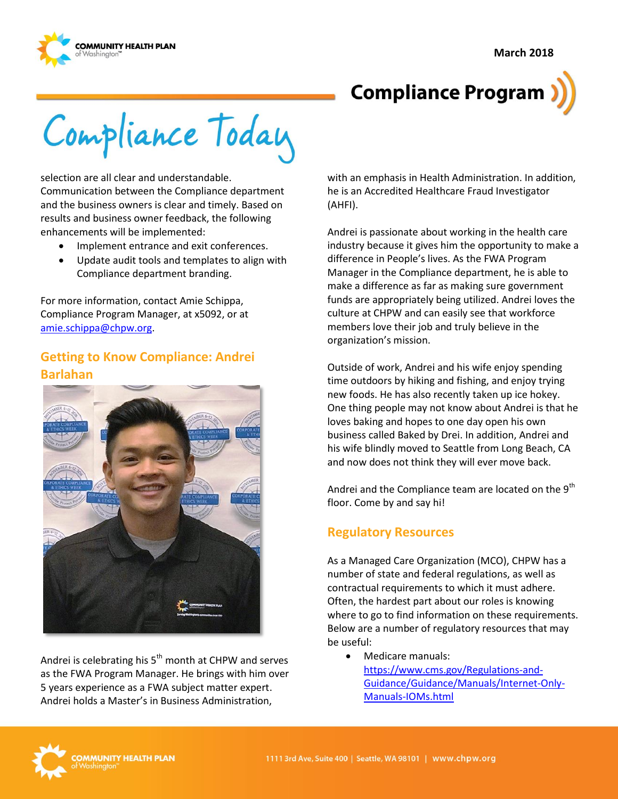

# **Compliance Program**

Compliance Today

selection are all clear and understandable. Communication between the Compliance department and the business owners is clear and timely. Based on results and business owner feedback, the following enhancements will be implemented:

- Implement entrance and exit conferences.
- Update audit tools and templates to align with Compliance department branding.

For more information, contact Amie Schippa, Compliance Program Manager, at x5092, or at [amie.schippa@chpw.org.](mailto:amie.schippa@chpw.org)

## **Getting to Know Compliance: Andrei Barlahan**



Andrei is celebrating his  $5<sup>th</sup>$  month at CHPW and serves as the FWA Program Manager. He brings with him over 5 years experience as a FWA subject matter expert. Andrei holds a Master's in Business Administration,

with an emphasis in Health Administration. In addition, he is an Accredited Healthcare Fraud Investigator (AHFI).

Andrei is passionate about working in the health care industry because it gives him the opportunity to make a difference in People's lives. As the FWA Program Manager in the Compliance department, he is able to make a difference as far as making sure government funds are appropriately being utilized. Andrei loves the culture at CHPW and can easily see that workforce members love their job and truly believe in the organization's mission.

Outside of work, Andrei and his wife enjoy spending time outdoors by hiking and fishing, and enjoy trying new foods. He has also recently taken up ice hokey. One thing people may not know about Andrei is that he loves baking and hopes to one day open his own business called Baked by Drei. In addition, Andrei and his wife blindly moved to Seattle from Long Beach, CA and now does not think they will ever move back.

Andrei and the Compliance team are located on the  $9<sup>th</sup>$ floor. Come by and say hi!

## **Regulatory Resources**

As a Managed Care Organization (MCO), CHPW has a number of state and federal regulations, as well as contractual requirements to which it must adhere. Often, the hardest part about our roles is knowing where to go to find information on these requirements. Below are a number of regulatory resources that may be useful:

• Medicare manuals: [https://www.cms.gov/Regulations-and-](https://www.cms.gov/Regulations-and-Guidance/Guidance/Manuals/Internet-Only-Manuals-IOMs.html)[Guidance/Guidance/Manuals/Internet-Only-](https://www.cms.gov/Regulations-and-Guidance/Guidance/Manuals/Internet-Only-Manuals-IOMs.html)[Manuals-IOMs.html](https://www.cms.gov/Regulations-and-Guidance/Guidance/Manuals/Internet-Only-Manuals-IOMs.html)

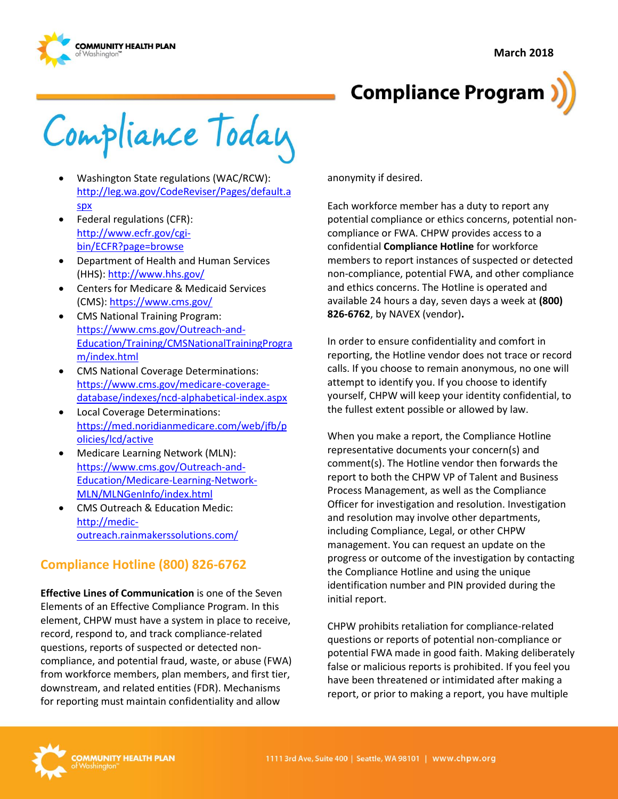



Compliance Today

- Washington State regulations (WAC/RCW): [http://leg.wa.gov/CodeReviser/Pages/default.a](http://leg.wa.gov/CodeReviser/Pages/default.aspx) [spx](http://leg.wa.gov/CodeReviser/Pages/default.aspx)
- Federal regulations (CFR): [http://www.ecfr.gov/cgi](http://www.ecfr.gov/cgi-bin/ECFR?page=browse)[bin/ECFR?page=browse](http://www.ecfr.gov/cgi-bin/ECFR?page=browse)
- Department of Health and Human Services (HHS):<http://www.hhs.gov/>
- Centers for Medicare & Medicaid Services (CMS)[: https://www.cms.gov/](https://www.cms.gov/)
- CMS National Training Program: [https://www.cms.gov/Outreach-and-](https://www.cms.gov/Outreach-and-Education/Training/CMSNationalTrainingProgram/index.html)[Education/Training/CMSNationalTrainingProgra](https://www.cms.gov/Outreach-and-Education/Training/CMSNationalTrainingProgram/index.html) [m/index.html](https://www.cms.gov/Outreach-and-Education/Training/CMSNationalTrainingProgram/index.html)
- CMS National Coverage Determinations: [https://www.cms.gov/medicare-coverage](https://www.cms.gov/medicare-coverage-database/indexes/ncd-alphabetical-index.aspx)[database/indexes/ncd-alphabetical-index.aspx](https://www.cms.gov/medicare-coverage-database/indexes/ncd-alphabetical-index.aspx)
- Local Coverage Determinations: [https://med.noridianmedicare.com/web/jfb/p](https://med.noridianmedicare.com/web/jfb/policies/lcd/active) [olicies/lcd/active](https://med.noridianmedicare.com/web/jfb/policies/lcd/active)
- Medicare Learning Network (MLN): [https://www.cms.gov/Outreach-and-](https://www.cms.gov/Outreach-and-Education/Medicare-Learning-Network-MLN/MLNGenInfo/index.html)[Education/Medicare-Learning-Network-](https://www.cms.gov/Outreach-and-Education/Medicare-Learning-Network-MLN/MLNGenInfo/index.html)[MLN/MLNGenInfo/index.html](https://www.cms.gov/Outreach-and-Education/Medicare-Learning-Network-MLN/MLNGenInfo/index.html)
- CMS Outreach & Education Medic: [http://medic](http://medic-outreach.rainmakerssolutions.com/)[outreach.rainmakerssolutions.com/](http://medic-outreach.rainmakerssolutions.com/)

## **Compliance Hotline (800) 826-6762**

**Effective Lines of Communication** is one of the Seven Elements of an Effective Compliance Program. In this element, CHPW must have a system in place to receive, record, respond to, and track compliance-related questions, reports of suspected or detected noncompliance, and potential fraud, waste, or abuse (FWA) from workforce members, plan members, and first tier, downstream, and related entities (FDR). Mechanisms for reporting must maintain confidentiality and allow

anonymity if desired.

Each workforce member has a duty to report any potential compliance or ethics concerns, potential noncompliance or FWA. CHPW provides access to a confidential **Compliance Hotline** for workforce members to report instances of suspected or detected non-compliance, potential FWA, and other compliance and ethics concerns. The Hotline is operated and available 24 hours a day, seven days a week at **(800) 826-6762**, by NAVEX (vendor)**.**

In order to ensure confidentiality and comfort in reporting, the Hotline vendor does not trace or record calls. If you choose to remain anonymous, no one will attempt to identify you. If you choose to identify yourself, CHPW will keep your identity confidential, to the fullest extent possible or allowed by law.

When you make a report, the Compliance Hotline representative documents your concern(s) and comment(s). The Hotline vendor then forwards the report to both the CHPW VP of Talent and Business Process Management, as well as the Compliance Officer for investigation and resolution. Investigation and resolution may involve other departments, including Compliance, Legal, or other CHPW management. You can request an update on the progress or outcome of the investigation by contacting the Compliance Hotline and using the unique identification number and PIN provided during the initial report.

CHPW prohibits retaliation for compliance-related questions or reports of potential non-compliance or potential FWA made in good faith. Making deliberately false or malicious reports is prohibited. If you feel you have been threatened or intimidated after making a report, or prior to making a report, you have multiple